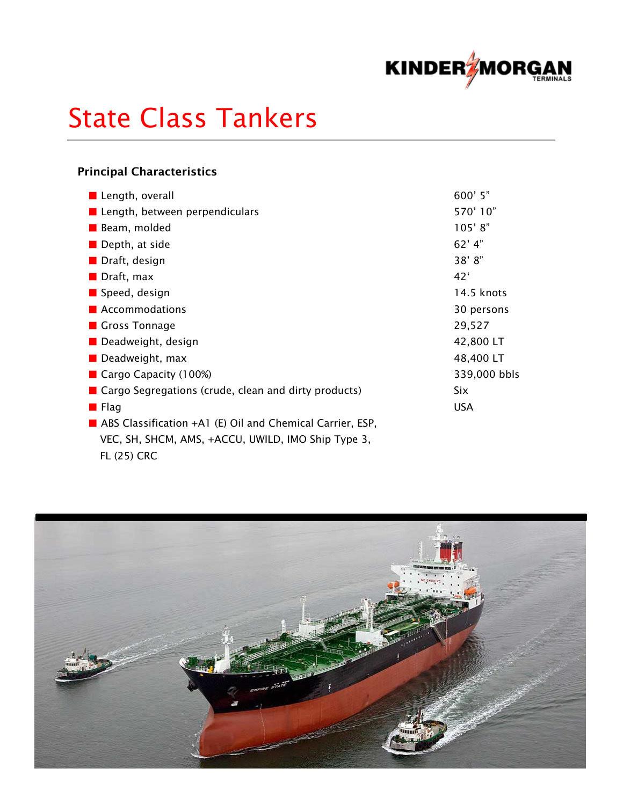

# State Class Tankers

## Principal Characteristics

| Length, overall                                             | 600' 5"      |
|-------------------------------------------------------------|--------------|
| ■ Length, between perpendiculars                            | 570'10"      |
| Beam, molded                                                | 105'8"       |
| $\blacksquare$ Depth, at side                               | $62'$ 4"     |
| Draft, design                                               | 38'8"        |
| $\blacksquare$ Draft, max                                   | 42'          |
| Speed, design                                               | 14.5 knots   |
| <b>Accommodations</b>                                       | 30 persons   |
| Gross Tonnage                                               | 29,527       |
| Deadweight, design                                          | 42,800 LT    |
| $\blacksquare$ Deadweight, max                              | 48,400 LT    |
| Cargo Capacity $(100%)$                                     | 339,000 bbls |
| ■ Cargo Segregations (crude, clean and dirty products)      | <b>Six</b>   |
| <b>E</b> Flag                                               | <b>USA</b>   |
| ABS Classification $+A1$ (E) Oil and Chemical Carrier, ESP, |              |
| VEC, SH, SHCM, AMS, +ACCU, UWILD, IMO Ship Type 3,          |              |